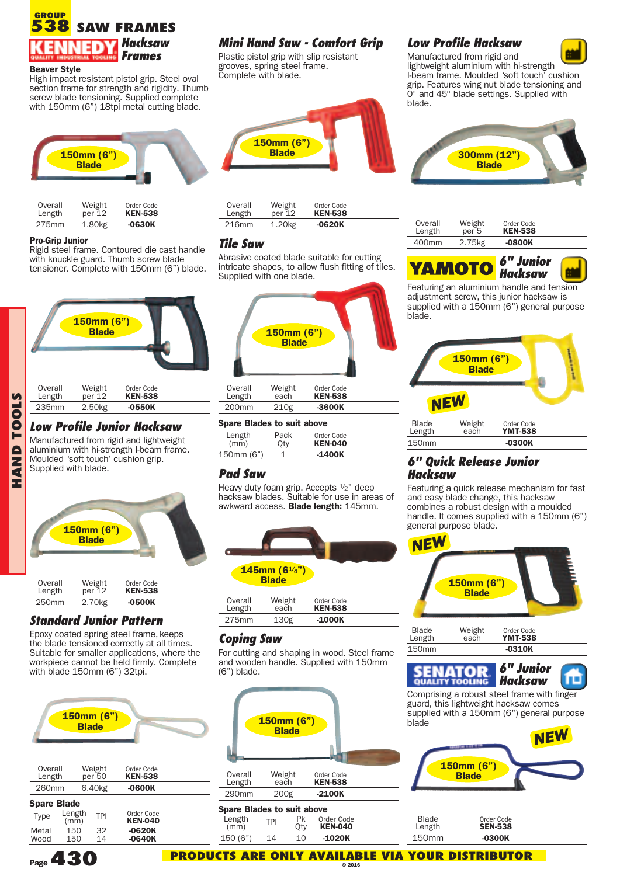#### **SAW FRAMES GROUP 538** *Hacksaw Frames*

#### **Beaver Style**

High impact resistant pistol grip. Steel oval section frame for strength and rigidity. Thumb screw blade tensioning. Supplied complete with 150mm (6") 18tpi metal cutting blade.



| Overall | Weight             | Order Code     |  |
|---------|--------------------|----------------|--|
| Length  | $per$ 12           | <b>KEN-538</b> |  |
| 275mm   | 1.80 <sub>kg</sub> | -0630K         |  |

**HANDT O** Rigid steel frame. Contoured die cast handle with knuckle guard. Thumb screw blade tensioner. Complete with 150mm (6") blade.



### *Low Profile Junior Hacksaw*

Manufactured from rigid and lightweight aluminium with hi-strength I-beam frame. Moulded 'soft touch' cushion grip. Supplied with blade.



## *Standard Junior Pattern*

Epoxy coated spring steel frame, keeps the blade tensioned correctly at all times. Suitable for smaller applications, where the workpiece cannot be held firmly. Complete with blade 150mm (6") 32tpi.



| Overall<br>Length          |                | Weight<br>per 50   | Order Code<br><b>KEN-538</b> |  |
|----------------------------|----------------|--------------------|------------------------------|--|
| 260mm                      |                | 6.40 <sub>kg</sub> | $-0600K$                     |  |
| <b>Spare Blade</b><br>Type | Length<br>(mm) | <b>TPI</b>         | Order Code<br><b>KEN-040</b> |  |
| Metal<br>Wood              | 150<br>150     | 32<br>14           | $-0620K$<br>$-0640K$         |  |

# *Mini Hand Saw - Comfort Grip*

Plastic pistol grip with slip resistant grooves, spring steel frame. Complete with blade.



| Overall           | Weight              | Order Code     |  |
|-------------------|---------------------|----------------|--|
| Length            | $per$ 12            | <b>KEN-538</b> |  |
| 216 <sub>mm</sub> | 1.20 <sub>k</sub> g | -0620K         |  |

#### *Tile Saw*

Abrasive coated blade suitable for cutting intricate shapes, to allow flush fitting of tiles. Supplied with one blade.



| Length<br>(mm) | Pack<br>Otv | Order Code<br><b>KEN-040</b> |  |
|----------------|-------------|------------------------------|--|
| 150mm (6")     |             | $-1400K$                     |  |

## *Pad Saw*

Heavy duty foam grip. Accepts  $\frac{1}{2}$ " deep hacksaw blades. Suitable for use in areas of awkward access. **Blade length:** 145mm.



| Overall | Weight | Order Code     |  |
|---------|--------|----------------|--|
| Length  | each   | <b>KEN-538</b> |  |
| 275mm   | 130g   | -1000K         |  |

#### *Coping Saw*

For cutting and shaping in wood. Steel frame and wooden handle. Supplied with 150mm (6") blade.



#### Length TPI Pk Order Code<br>(mm) TPI Oty **KEN-040** (mm) Qty **KEN-040** 150 (6") 14 10 **-1020K**

**PRODUCTS ARE ONLY AVAILABLE VIA YOUR DISTRIBUTOR © 2016**

## *Low Profile Hacksaw*



Manufactured from rigid and lightweight aluminium with hi-strength I-beam frame. Moulded 'soft touch' cushion grip. Features wing nut blade tensioning and 0° and 45° blade settings. Supplied with blade.



| -------<br>----------<br>-----------                            | ----------      | ----------- | ----------- |                   |                            |                              |  |
|-----------------------------------------------------------------|-----------------|-------------|-------------|-------------------|----------------------------|------------------------------|--|
| 275mm<br>$-0630K$<br>1.80kg                                     | 216mm           | 1.20kg      | $-0620K$    | Overall<br>Length | Weight<br>per <sub>5</sub> | Order Code<br><b>KEN-538</b> |  |
|                                                                 |                 |             |             |                   |                            |                              |  |
| Pro-Grip Junior<br>Digid stool frame. Contaured die east bandle | <b>Tile Saw</b> |             |             | 400mm             | 2.75kg                     | -0800K                       |  |
|                                                                 |                 |             |             |                   |                            |                              |  |



Featuring an aluminium handle and tension adjustment screw, this junior hacksaw is supplied with a 150mm (6") general purpose blade.

|                        | 150mm (6")<br><b>Blade</b> |                              |  |
|------------------------|----------------------------|------------------------------|--|
|                        | <b>NEW</b>                 |                              |  |
| <b>Blade</b><br>Length | Weight<br>each             | Order Code<br><b>YMT-538</b> |  |
| <b>150mm</b>           |                            | $-0300K$                     |  |

### *6" Quick Release Junior Hacksaw*

Featuring a quick release mechanism for fast and easy blade change, this hacksaw combines a robust design with a moulded handle. It comes supplied with a 150mm (6") general purpose blade.



**Page430**